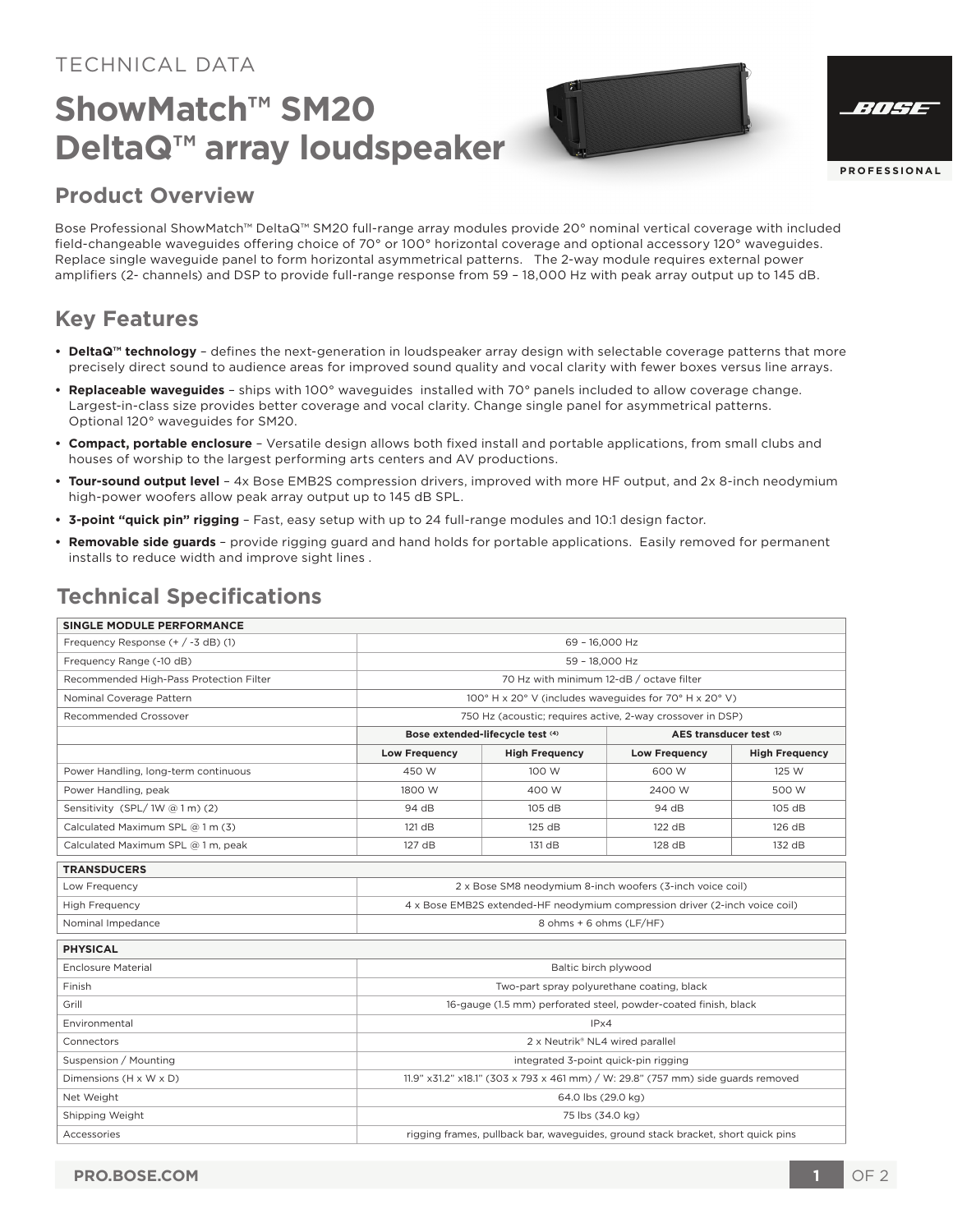#### TECHNICAL DATA

# **ShowMatch™ SM20 DeltaQ™ array loudspeaker**

| ':///Ha      |
|--------------|
|              |
| PROFESSIONAL |

#### **Product Overview**

Bose Professional ShowMatch™ DeltaQ™ SM20 full-range array modules provide 20° nominal vertical coverage with included field-changeable waveguides offering choice of 70° or 100° horizontal coverage and optional accessory 120° waveguides. Replace single waveguide panel to form horizontal asymmetrical patterns. The 2-way module requires external power amplifiers (2- channels) and DSP to provide full-range response from 59 – 18,000 Hz with peak array output up to 145 dB.

### **Key Features**

- **DeltaQ™ technology** defines the next-generation in loudspeaker array design with selectable coverage patterns that more precisely direct sound to audience areas for improved sound quality and vocal clarity with fewer boxes versus line arrays.
- **Replaceable waveguides** ships with 100° waveguides installed with 70° panels included to allow coverage change. Largest-in-class size provides better coverage and vocal clarity. Change single panel for asymmetrical patterns. Optional 120° waveguides for SM20.
- **Compact, portable enclosure** Versatile design allows both fixed install and portable applications, from small clubs and houses of worship to the largest performing arts centers and AV productions.
- **Tour-sound output level** 4x Bose EMB2S compression drivers, improved with more HF output, and 2x 8-inch neodymium high-power woofers allow peak array output up to 145 dB SPL.
- **3-point "quick pin" rigging** Fast, easy setup with up to 24 full-range modules and 10:1 design factor.
- **Removable side guards**  provide rigging guard and hand holds for portable applications. Easily removed for permanent installs to reduce width and improve sight lines .

## **Technical Specifications**

| <b>SINGLE MODULE PERFORMANCE</b>        |                                                                                  |                       |                         |                       |
|-----------------------------------------|----------------------------------------------------------------------------------|-----------------------|-------------------------|-----------------------|
| Frequency Response $(+ / -3$ dB) (1)    | 69 - 16,000 Hz                                                                   |                       |                         |                       |
| Frequency Range (-10 dB)                | 59 - 18.000 Hz                                                                   |                       |                         |                       |
| Recommended High-Pass Protection Filter | 70 Hz with minimum 12-dB / octave filter                                         |                       |                         |                       |
| Nominal Coverage Pattern                | 100° H x 20° V (includes waveguides for 70° H x 20° V)                           |                       |                         |                       |
| Recommended Crossover                   | 750 Hz (acoustic; requires active, 2-way crossover in DSP)                       |                       |                         |                       |
|                                         | Bose extended-lifecycle test (4)                                                 |                       | AES transducer test (5) |                       |
|                                         | <b>Low Frequency</b>                                                             | <b>High Frequency</b> | <b>Low Frequency</b>    | <b>High Frequency</b> |
| Power Handling, long-term continuous    | 450 W                                                                            | 100 W                 | 600 W                   | 125 W                 |
| Power Handling, peak                    | 1800 W                                                                           | 400 W                 | 2400 W                  | 500 W                 |
| Sensitivity (SPL/1W @ 1 m) (2)          | 94 dB                                                                            | 105 dB                | 94 dB                   | 105 dB                |
| Calculated Maximum SPL @ 1 m (3)        | 121 dB                                                                           | 125 dB                | 122 dB                  | 126 dB                |
| Calculated Maximum SPL @ 1 m, peak      | 127 dB                                                                           | 131 dB                | 128 dB                  | 132 dB                |
| <b>TRANSDUCERS</b>                      |                                                                                  |                       |                         |                       |
| Low Frequency                           | 2 x Bose SM8 neodymium 8-inch woofers (3-inch voice coil)                        |                       |                         |                       |
| <b>High Frequency</b>                   | 4 x Bose EMB2S extended-HF neodymium compression driver (2-inch voice coil)      |                       |                         |                       |
| Nominal Impedance                       | 8 ohms + 6 ohms (LF/HF)                                                          |                       |                         |                       |
| <b>PHYSICAL</b>                         |                                                                                  |                       |                         |                       |
| <b>Enclosure Material</b>               | Baltic birch plywood                                                             |                       |                         |                       |
| Finish                                  | Two-part spray polyurethane coating, black                                       |                       |                         |                       |
| Grill                                   | 16-gauge (1.5 mm) perforated steel, powder-coated finish, black                  |                       |                         |                       |
| Environmental                           | IPx4                                                                             |                       |                         |                       |
| Connectors                              | 2 x Neutrik® NL4 wired parallel                                                  |                       |                         |                       |
| Suspension / Mounting                   | integrated 3-point quick-pin rigging                                             |                       |                         |                       |
| Dimensions (H x W x D)                  | 11.9" x31.2" x18.1" (303 x 793 x 461 mm) / W: 29.8" (757 mm) side guards removed |                       |                         |                       |
| Net Weight                              | 64.0 lbs (29.0 kg)                                                               |                       |                         |                       |
| Shipping Weight                         | 75 lbs (34.0 kg)                                                                 |                       |                         |                       |
| Accessories                             | rigging frames, pullback bar, waveguides, ground stack bracket, short quick pins |                       |                         |                       |